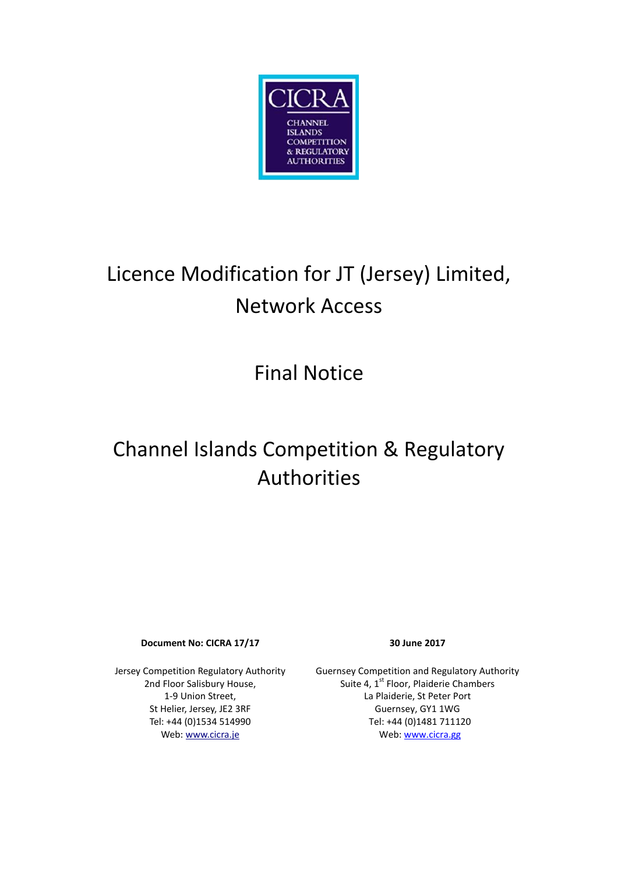

# Licence Modification for JT (Jersey) Limited, Network Access

Final Notice

# Channel Islands Competition & Regulatory Authorities

**Document No: CICRA 17/17 30 June 2017**

Jersey Competition Regulatory Authority 2nd Floor Salisbury House, 1-9 Union Street, St Helier, Jersey, JE2 3RF Tel: +44 (0)1534 514990 Web: www.cicra.je

Guernsey Competition and Regulatory Authority Suite 4, 1<sup>st</sup> Floor, Plaiderie Chambers La Plaiderie, St Peter Port Guernsey, GY1 1WG Tel: +44 (0)1481 711120 Web: www.cicra.gg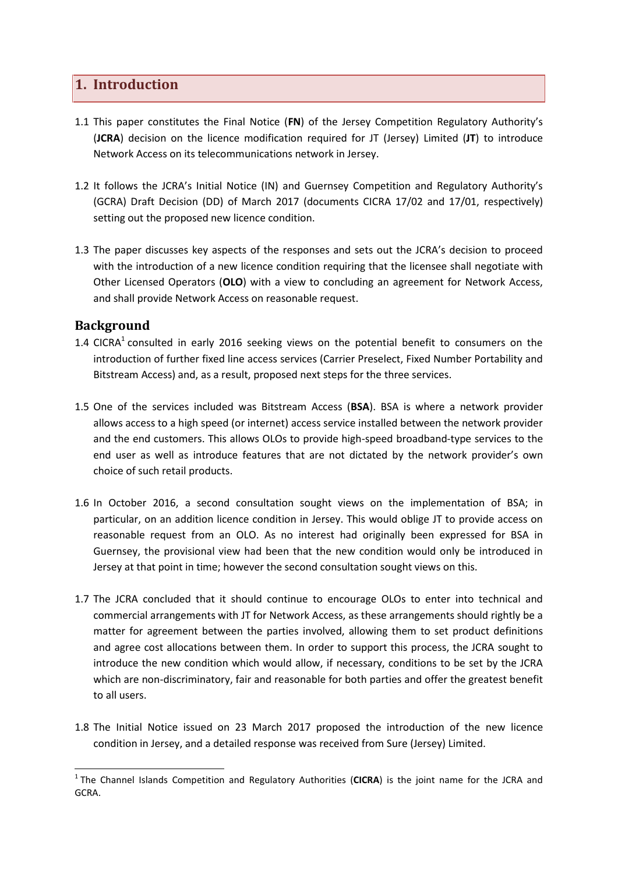## **1. Introduction**

- 1.1 This paper constitutes the Final Notice (**FN**) of the Jersey Competition Regulatory Authority's (**JCRA**) decision on the licence modification required for JT (Jersey) Limited (**JT**) to introduce Network Access on its telecommunications network in Jersey.
- 1.2 It follows the JCRA's Initial Notice (IN) and Guernsey Competition and Regulatory Authority's (GCRA) Draft Decision (DD) of March 2017 (documents CICRA 17/02 and 17/01, respectively) setting out the proposed new licence condition.
- 1.3 The paper discusses key aspects of the responses and sets out the JCRA's decision to proceed with the introduction of a new licence condition requiring that the licensee shall negotiate with Other Licensed Operators (**OLO**) with a view to concluding an agreement for Network Access, and shall provide Network Access on reasonable request.

### **Background**

- 1.4 CICRA<sup>1</sup> consulted in early 2016 seeking views on the potential benefit to consumers on the introduction of further fixed line access services (Carrier Preselect, Fixed Number Portability and Bitstream Access) and, as a result, proposed next steps for the three services.
- 1.5 One of the services included was Bitstream Access (**BSA**). BSA is where a network provider allows access to a high speed (or internet) access service installed between the network provider and the end customers. This allows OLOs to provide high-speed broadband-type services to the end user as well as introduce features that are not dictated by the network provider's own choice of such retail products.
- 1.6 In October 2016, a second consultation sought views on the implementation of BSA; in particular, on an addition licence condition in Jersey. This would oblige JT to provide access on reasonable request from an OLO. As no interest had originally been expressed for BSA in Guernsey, the provisional view had been that the new condition would only be introduced in Jersey at that point in time; however the second consultation sought views on this.
- 1.7 The JCRA concluded that it should continue to encourage OLOs to enter into technical and commercial arrangements with JT for Network Access, as these arrangements should rightly be a matter for agreement between the parties involved, allowing them to set product definitions and agree cost allocations between them. In order to support this process, the JCRA sought to introduce the new condition which would allow, if necessary, conditions to be set by the JCRA which are non-discriminatory, fair and reasonable for both parties and offer the greatest benefit to all users.
- 1.8 The Initial Notice issued on 23 March 2017 proposed the introduction of the new licence condition in Jersey, and a detailed response was received from Sure (Jersey) Limited.

<sup>&</sup>lt;sup>1</sup> The Channel Islands Competition and Regulatory Authorities (CICRA) is the joint name for the JCRA and GCRA.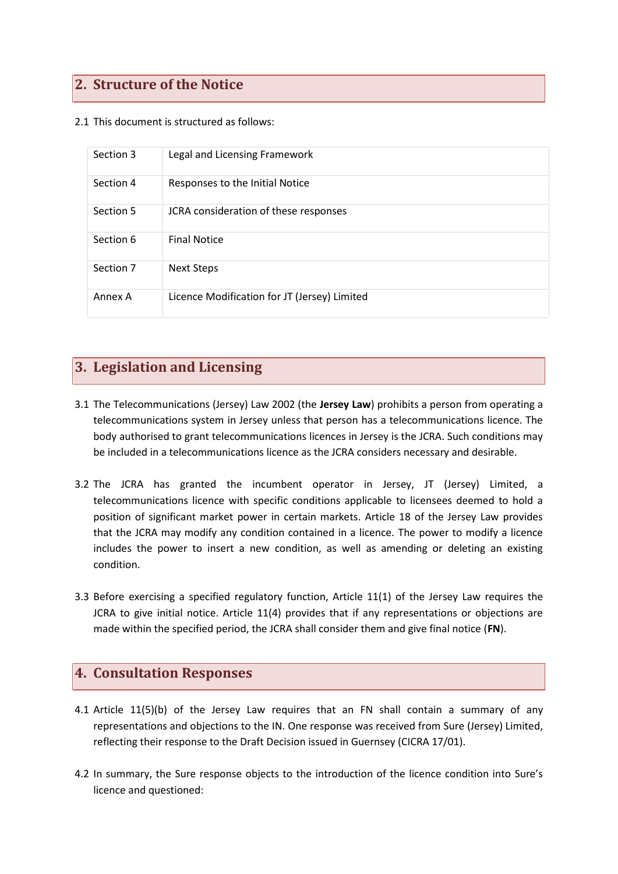## **2. Structure of the Notice**

#### 2.1 This document is structured as follows:

| Section 3 | Legal and Licensing Framework                |
|-----------|----------------------------------------------|
| Section 4 | Responses to the Initial Notice              |
| Section 5 | JCRA consideration of these responses        |
| Section 6 | <b>Final Notice</b>                          |
| Section 7 | <b>Next Steps</b>                            |
| Annex A   | Licence Modification for JT (Jersey) Limited |

# **3. Legislation and Licensing**

- 3.1 The Telecommunications (Jersey) Law 2002 (the **Jersey Law**) prohibits a person from operating a telecommunications system in Jersey unless that person has a telecommunications licence. The body authorised to grant telecommunications licences in Jersey is the JCRA. Such conditions may be included in a telecommunications licence as the JCRA considers necessary and desirable.
- 3.2 The JCRA has granted the incumbent operator in Jersey, JT (Jersey) Limited, a telecommunications licence with specific conditions applicable to licensees deemed to hold a position of significant market power in certain markets. Article 18 of the Jersey Law provides that the JCRA may modify any condition contained in a licence. The power to modify a licence includes the power to insert a new condition, as well as amending or deleting an existing condition.
- 3.3 Before exercising a specified regulatory function, Article 11(1) of the Jersey Law requires the JCRA to give initial notice. Article 11(4) provides that if any representations or objections are made within the specified period, the JCRA shall consider them and give final notice (**FN**).

## **4. Consultation Responses**

- 4.1 Article 11(5)(b) of the Jersey Law requires that an FN shall contain a summary of any representations and objections to the IN. One response was received from Sure (Jersey) Limited, reflecting their response to the Draft Decision issued in Guernsey (CICRA 17/01).
- 4.2 In summary, the Sure response objects to the introduction of the licence condition into Sure's licence and questioned: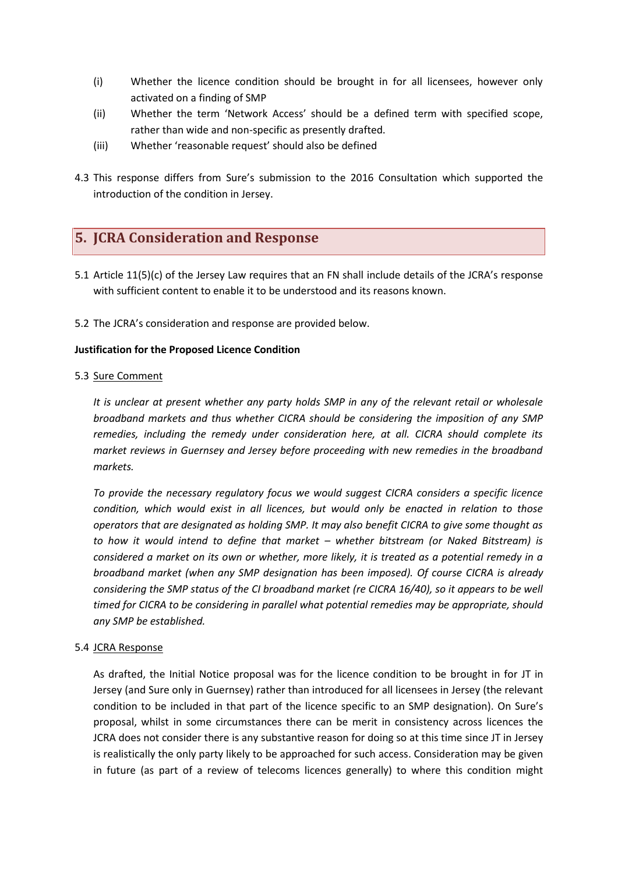- (i) Whether the licence condition should be brought in for all licensees, however only activated on a finding of SMP
- (ii) Whether the term 'Network Access' should be a defined term with specified scope, rather than wide and non-specific as presently drafted.
- (iii) Whether 'reasonable request' should also be defined
- 4.3 This response differs from Sure's submission to the 2016 Consultation which supported the introduction of the condition in Jersey.

## **5. JCRA Consideration and Response**

- 5.1 Article 11(5)(c) of the Jersey Law requires that an FN shall include details of the JCRA's response with sufficient content to enable it to be understood and its reasons known.
- 5.2 The JCRA's consideration and response are provided below.

#### **Justification for the Proposed Licence Condition**

#### 5.3 Sure Comment

*It is unclear at present whether any party holds SMP in any of the relevant retail or wholesale broadband markets and thus whether CICRA should be considering the imposition of any SMP remedies, including the remedy under consideration here, at all. CICRA should complete its market reviews in Guernsey and Jersey before proceeding with new remedies in the broadband markets.*

*To provide the necessary regulatory focus we would suggest CICRA considers a specific licence condition, which would exist in all licences, but would only be enacted in relation to those operators that are designated as holding SMP. It may also benefit CICRA to give some thought as to how it would intend to define that market – whether bitstream (or Naked Bitstream) is considered a market on its own or whether, more likely, it is treated as a potential remedy in a broadband market (when any SMP designation has been imposed). Of course CICRA is already considering the SMP status of the CI broadband market (re CICRA 16/40), so it appears to be well timed for CICRA to be considering in parallel what potential remedies may be appropriate, should any SMP be established.*

#### 5.4 JCRA Response

As drafted, the Initial Notice proposal was for the licence condition to be brought in for JT in Jersey (and Sure only in Guernsey) rather than introduced for all licensees in Jersey (the relevant condition to be included in that part of the licence specific to an SMP designation). On Sure's proposal, whilst in some circumstances there can be merit in consistency across licences the JCRA does not consider there is any substantive reason for doing so at this time since JT in Jersey is realistically the only party likely to be approached for such access. Consideration may be given in future (as part of a review of telecoms licences generally) to where this condition might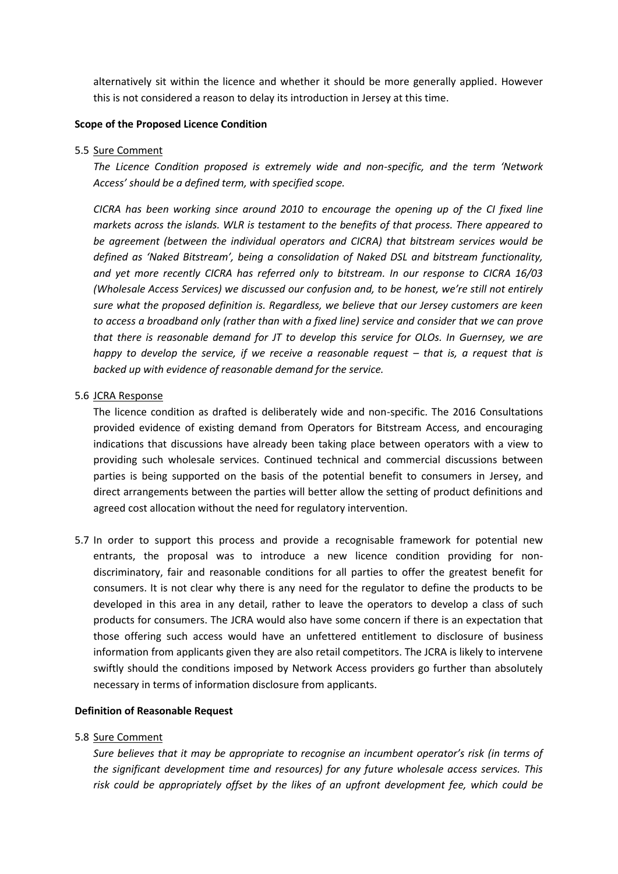alternatively sit within the licence and whether it should be more generally applied. However this is not considered a reason to delay its introduction in Jersey at this time.

#### **Scope of the Proposed Licence Condition**

#### 5.5 Sure Comment

*The Licence Condition proposed is extremely wide and non-specific, and the term 'Network Access' should be a defined term, with specified scope.*

*CICRA has been working since around 2010 to encourage the opening up of the CI fixed line markets across the islands. WLR is testament to the benefits of that process. There appeared to be agreement (between the individual operators and CICRA) that bitstream services would be defined as 'Naked Bitstream', being a consolidation of Naked DSL and bitstream functionality, and yet more recently CICRA has referred only to bitstream. In our response to CICRA 16/03 (Wholesale Access Services) we discussed our confusion and, to be honest, we're still not entirely sure what the proposed definition is. Regardless, we believe that our Jersey customers are keen to access a broadband only (rather than with a fixed line) service and consider that we can prove that there is reasonable demand for JT to develop this service for OLOs. In Guernsey, we are happy to develop the service, if we receive a reasonable request – that is, a request that is backed up with evidence of reasonable demand for the service.*

#### 5.6 JCRA Response

The licence condition as drafted is deliberately wide and non-specific. The 2016 Consultations provided evidence of existing demand from Operators for Bitstream Access, and encouraging indications that discussions have already been taking place between operators with a view to providing such wholesale services. Continued technical and commercial discussions between parties is being supported on the basis of the potential benefit to consumers in Jersey, and direct arrangements between the parties will better allow the setting of product definitions and agreed cost allocation without the need for regulatory intervention.

5.7 In order to support this process and provide a recognisable framework for potential new entrants, the proposal was to introduce a new licence condition providing for non discriminatory, fair and reasonable conditions for all parties to offer the greatest benefit for consumers. It is not clear why there is any need for the regulator to define the products to be developed in this area in any detail, rather to leave the operators to develop a class of such products for consumers. The JCRA would also have some concern if there is an expectation that those offering such access would have an unfettered entitlement to disclosure of business information from applicants given they are also retail competitors. The JCRA is likely to intervene swiftly should the conditions imposed by Network Access providers go further than absolutely necessary in terms of information disclosure from applicants.

#### **Definition of Reasonable Request**

#### 5.8 Sure Comment

*Sure believes that it may be appropriate to recognise an incumbent operator's risk (in terms of the significant development time and resources) for any future wholesale access services. This risk could be appropriately offset by the likes of an upfront development fee, which could be*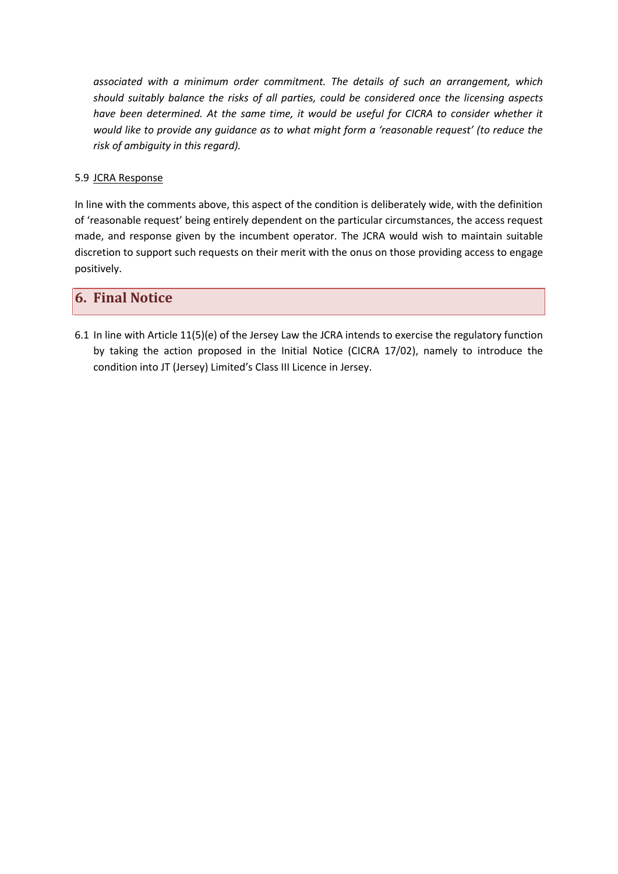*associated with a minimum order commitment. The details of such an arrangement, which should suitably balance the risks of all parties, could be considered once the licensing aspects have been determined. At the same time, it would be useful for CICRA to consider whether it would like to provide any guidance as to what might form a 'reasonable request' (to reduce the risk of ambiguity in this regard).*

#### 5.9 JCRA Response

In line with the comments above, this aspect of the condition is deliberately wide, with the definition of 'reasonable request' being entirely dependent on the particular circumstances, the access request made, and response given by the incumbent operator. The JCRA would wish to maintain suitable discretion to support such requests on their merit with the onus on those providing access to engage positively.

## **6. Final Notice**

6.1 In line with Article 11(5)(e) of the Jersey Law the JCRA intends to exercise the regulatory function by taking the action proposed in the Initial Notice (CICRA 17/02), namely to introduce the condition into JT (Jersey) Limited's Class III Licence in Jersey.